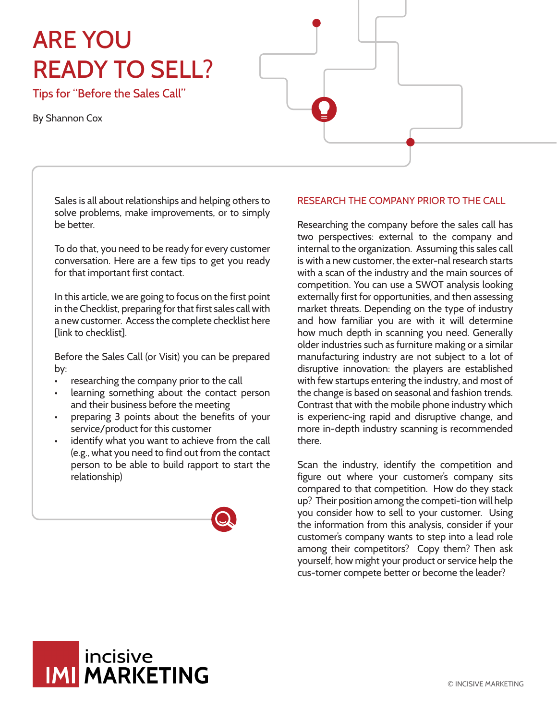# ARE YOU READY TO SELL?

Tips for "Before the Sales Call"

By Shannon Cox

Sales is all about relationships and helping others to solve problems, make improvements, or to simply be better.

To do that, you need to be ready for every customer conversation. Here are a few tips to get you ready for that important first contact.

In this article, we are going to focus on the first point in the Checklist, preparing for that first sales call with a new customer. Access the complete checklist here [link to checklist].

Before the Sales Call (or Visit) you can be prepared by:

- researching the company prior to the call
- learning something about the contact person and their business before the meeting
- preparing 3 points about the benefits of your service/product for this customer
- identify what you want to achieve from the call (e.g., what you need to find out from the contact person to be able to build rapport to start the relationship)



## RESEARCH THE COMPANY PRIOR TO THE CALL

Researching the company before the sales call has two perspectives: external to the company and internal to the organization. Assuming this sales call is with a new customer, the exter-nal research starts with a scan of the industry and the main sources of competition. You can use a SWOT analysis looking externally first for opportunities, and then assessing market threats. Depending on the type of industry and how familiar you are with it will determine how much depth in scanning you need. Generally older industries such as furniture making or a similar manufacturing industry are not subject to a lot of disruptive innovation: the players are established with few startups entering the industry, and most of the change is based on seasonal and fashion trends. Contrast that with the mobile phone industry which is experienc-ing rapid and disruptive change, and more in-depth industry scanning is recommended there.

Scan the industry, identify the competition and figure out where your customer's company sits compared to that competition. How do they stack up? Their position among the competi-tion will help you consider how to sell to your customer. Using the information from this analysis, consider if your customer's company wants to step into a lead role among their competitors? Copy them? Then ask yourself, how might your product or service help the cus-tomer compete better or become the leader?

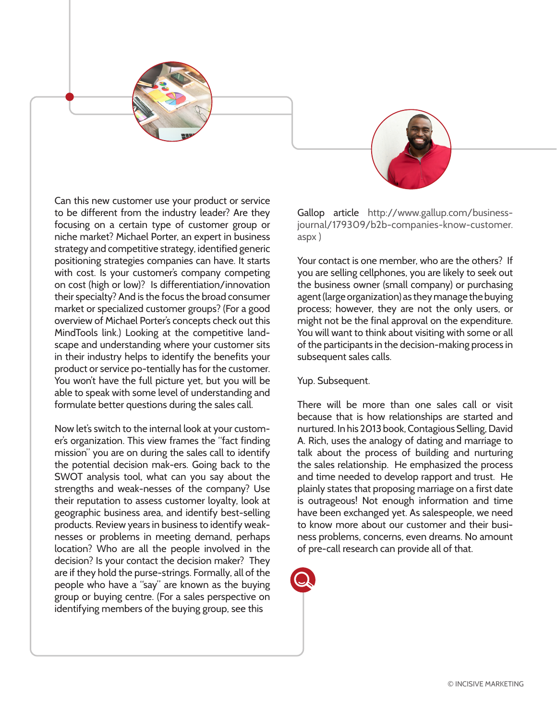

Can this new customer use your product or service to be different from the industry leader? Are they focusing on a certain type of customer group or niche market? Michael Porter, an expert in business strategy and competitive strategy, identified generic positioning strategies companies can have. It starts with cost. Is your customer's company competing on cost (high or low)? Is differentiation/innovation their specialty? And is the focus the broad consumer market or specialized customer groups? (For a good overview of Michael Porter's concepts check out this MindTools link.) Looking at the competitive landscape and understanding where your customer sits in their industry helps to identify the benefits your product or service po-tentially has for the customer. You won't have the full picture yet, but you will be able to speak with some level of understanding and formulate better questions during the sales call.

Now let's switch to the internal look at your customer's organization. This view frames the "fact finding mission" you are on during the sales call to identify the potential decision mak-ers. Going back to the SWOT analysis tool, what can you say about the strengths and weak-nesses of the company? Use their reputation to assess customer loyalty, look at geographic business area, and identify best-selling products. Review years in business to identify weaknesses or problems in meeting demand, perhaps location? Who are all the people involved in the decision? Is your contact the decision maker? They are if they hold the purse-strings. Formally, all of the people who have a "say" are known as the buying group or buying centre. (For a sales perspective on identifying members of the buying group, see this

Gallop article http://www.gallup.com/businessjournal/179309/b2b-companies-know-customer. aspx )

Your contact is one member, who are the others? If you are selling cellphones, you are likely to seek out the business owner (small company) or purchasing agent (large organization) as they manage the buying process; however, they are not the only users, or might not be the final approval on the expenditure. You will want to think about visiting with some or all of the participants in the decision-making process in subsequent sales calls.

## Yup. Subsequent.

There will be more than one sales call or visit because that is how relationships are started and nurtured. In his 2013 book, Contagious Selling, David A. Rich, uses the analogy of dating and marriage to talk about the process of building and nurturing the sales relationship. He emphasized the process and time needed to develop rapport and trust. He plainly states that proposing marriage on a first date is outrageous! Not enough information and time have been exchanged yet. As salespeople, we need to know more about our customer and their business problems, concerns, even dreams. No amount of pre-call research can provide all of that.